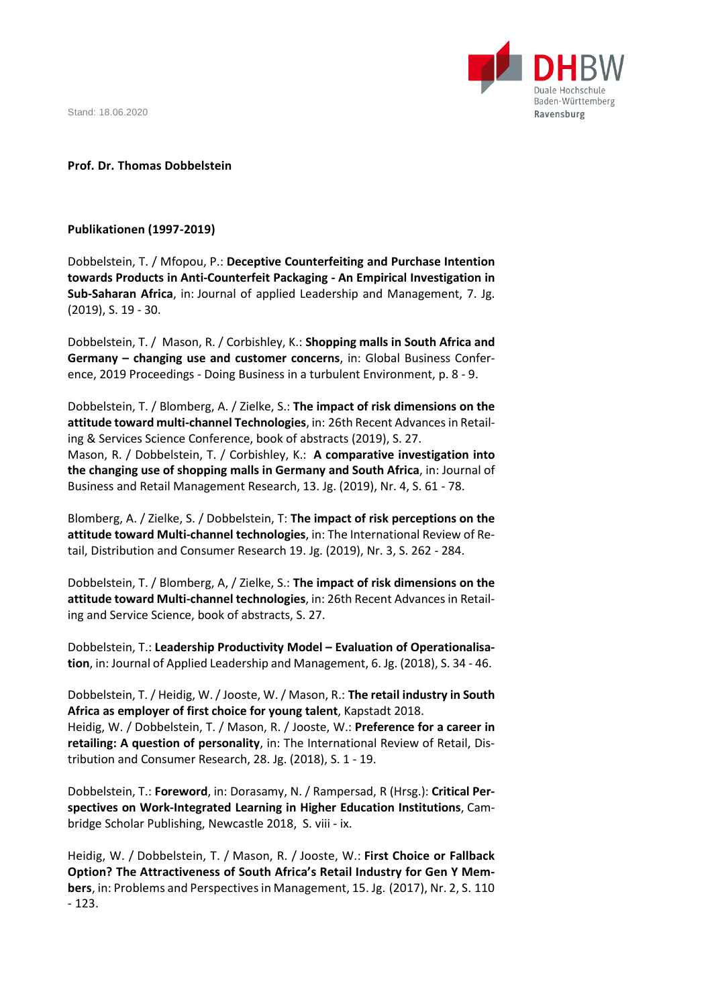Stand: 18.06.2020



## **Prof. Dr. Thomas Dobbelstein**

## **Publikationen (1997-2019)**

Dobbelstein, T. / Mfopou, P.: **Deceptive Counterfeiting and Purchase Intention towards Products in Anti-Counterfeit Packaging - An Empirical Investigation in Sub-Saharan Africa**, in: Journal of applied Leadership and Management, 7. Jg. (2019), S. 19 - 30.

Dobbelstein, T. / Mason, R. / Corbishley, K.: **Shopping malls in South Africa and Germany – changing use and customer concerns**, in: Global Business Conference, 2019 Proceedings - Doing Business in a turbulent Environment, p. 8 - 9.

Dobbelstein, T. / Blomberg, A. / Zielke, S.: **The impact of risk dimensions on the attitude toward multi-channel Technologies**, in: 26th Recent Advancesin Retailing & Services Science Conference, book of abstracts (2019), S. 27. Mason, R. / Dobbelstein, T. / Corbishley, K.: **A comparative investigation into the changing use of shopping malls in Germany and South Africa**, in: Journal of Business and Retail Management Research, 13. Jg. (2019), Nr. 4, S. 61 - 78.

Blomberg, A. / Zielke, S. / Dobbelstein, T: **The impact of risk perceptions on the attitude toward Multi-channel technologies**, in: The International Review of Retail, Distribution and Consumer Research 19. Jg. (2019), Nr. 3, S. 262 - 284.

Dobbelstein, T. / Blomberg, A, / Zielke, S.: **The impact of risk dimensions on the attitude toward Multi-channel technologies**, in: 26th Recent Advances in Retailing and Service Science, book of abstracts, S. 27.

Dobbelstein, T.: **Leadership Productivity Model – Evaluation of Operationalisation**, in: Journal of Applied Leadership and Management, 6. Jg. (2018), S. 34 - 46.

Dobbelstein, T. / Heidig, W. / Jooste, W. / Mason, R.: **The retail industry in South Africa as employer of first choice for young talent**, Kapstadt 2018. Heidig, W. / Dobbelstein, T. / Mason, R. / Jooste, W.: **Preference for a career in retailing: A question of personality**, in: The International Review of Retail, Distribution and Consumer Research, 28. Jg. (2018), S. 1 - 19.

Dobbelstein, T.: **Foreword**, in: Dorasamy, N. / Rampersad, R (Hrsg.): **Critical Perspectives on Work-Integrated Learning in Higher Education Institutions**, Cambridge Scholar Publishing, Newcastle 2018, S. viii - ix.

Heidig, W. / Dobbelstein, T. / Mason, R. / Jooste, W.: **First Choice or Fallback Option? The Attractiveness of South Africa's Retail Industry for Gen Y Members**, in: Problems and Perspectives in Management, 15. Jg. (2017), Nr. 2, S. 110 - 123.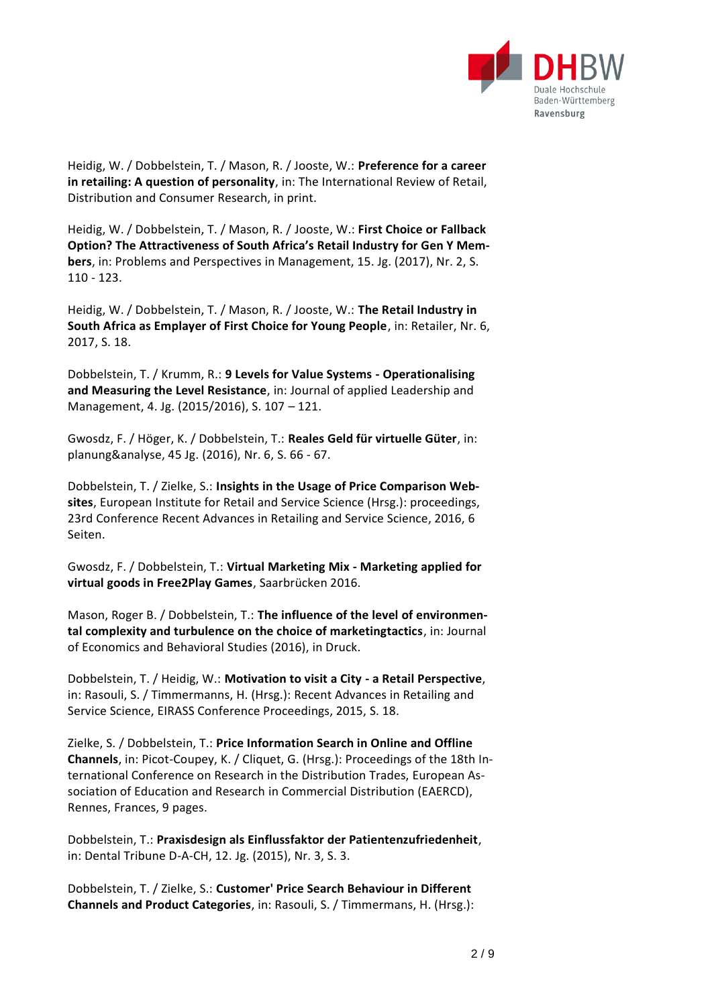

Heidig, W. / Dobbelstein, T. / Mason, R. / Jooste, W.: **Preference for a career in retailing: A question of personality**, in: The International Review of Retail, Distribution and Consumer Research, in print.

Heidig, W. / Dobbelstein, T. / Mason, R. / Jooste, W.: **First Choice or Fallback Option? The Attractiveness of South Africa's Retail Industry for Gen Y Members**, in: Problems and Perspectives in Management, 15. Jg. (2017), Nr. 2, S. 110 - 123.

Heidig, W. / Dobbelstein, T. / Mason, R. / Jooste, W.: **The Retail Industry in South Africa as Emplayer of First Choice for Young People**, in: Retailer, Nr. 6, 2017, S. 18.

Dobbelstein, T. / Krumm, R.: **9 Levels for Value Systems - Operationalising and Measuring the Level Resistance**, in: Journal of applied Leadership and Management, 4. Jg. (2015/2016), S. 107 – 121.

Gwosdz, F. / Höger, K. / Dobbelstein, T.: **Reales Geld für virtuelle Güter**, in: planung&analyse, 45 Jg. (2016), Nr. 6, S. 66 - 67.

Dobbelstein, T. / Zielke, S.: **Insights in the Usage of Price Comparison Websites**, European Institute for Retail and Service Science (Hrsg.): proceedings, 23rd Conference Recent Advances in Retailing and Service Science, 2016, 6 Seiten.

Gwosdz, F. / Dobbelstein, T.: **Virtual Marketing Mix - Marketing applied for virtual goods in Free2Play Games**, Saarbrücken 2016.

Mason, Roger B. / Dobbelstein, T.: **The influence of the level of environmental complexity and turbulence on the choice of marketingtactics**, in: Journal of Economics and Behavioral Studies (2016), in Druck.

Dobbelstein, T. / Heidig, W.: **Motivation to visit a City - a Retail Perspective**, in: Rasouli, S. / Timmermanns, H. (Hrsg.): Recent Advances in Retailing and Service Science, EIRASS Conference Proceedings, 2015, S. 18.

Zielke, S. / Dobbelstein, T.: **Price Information Search in Online and Offline Channels**, in: Picot-Coupey, K. / Cliquet, G. (Hrsg.): Proceedings of the 18th International Conference on Research in the Distribution Trades, European Association of Education and Research in Commercial Distribution (EAERCD), Rennes, Frances, 9 pages.

Dobbelstein, T.: **Praxisdesign als Einflussfaktor der Patientenzufriedenheit**, in: Dental Tribune D-A-CH, 12. Jg. (2015), Nr. 3, S. 3.

Dobbelstein, T. / Zielke, S.: **Customer' Price Search Behaviour in Different Channels and Product Categories**, in: Rasouli, S. / Timmermans, H. (Hrsg.):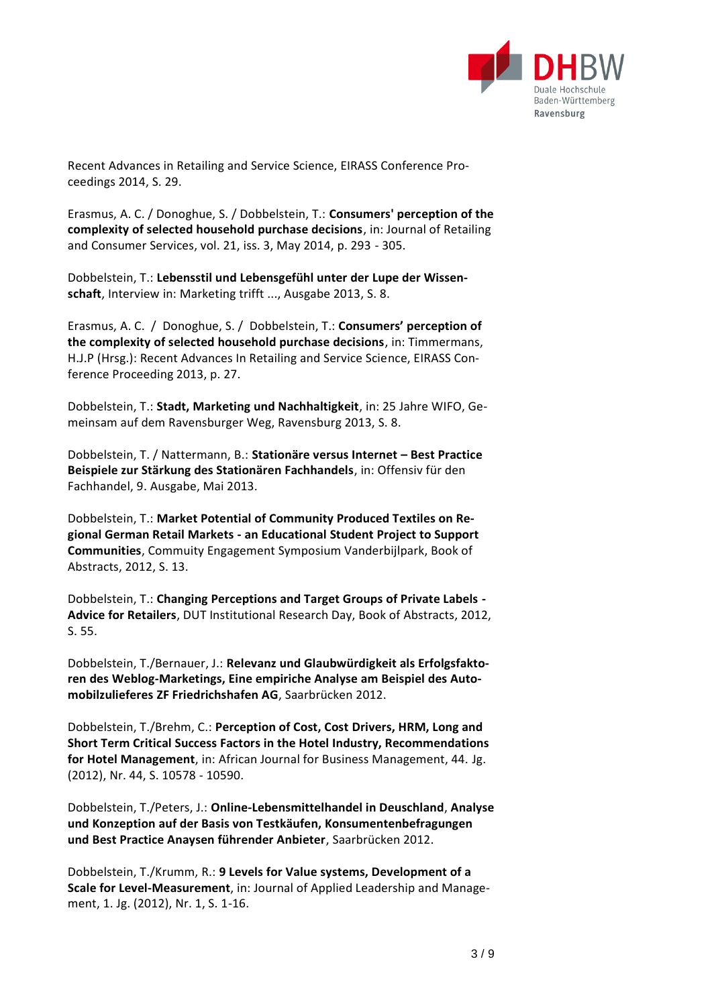

Recent Advances in Retailing and Service Science, EIRASS Conference Proceedings 2014, S. 29.

Erasmus, A. C. / Donoghue, S. / Dobbelstein, T.: **Consumers' perception of the complexity of selected household purchase decisions**, in: Journal of Retailing and Consumer Services, vol. 21, iss. 3, May 2014, p. 293 - 305.

Dobbelstein, T.: **Lebensstil und Lebensgefühl unter der Lupe der Wissenschaft**, Interview in: Marketing trifft ..., Ausgabe 2013, S. 8.

Erasmus, A. C. / Donoghue, S. / Dobbelstein, T.: **Consumers' perception of the complexity of selected household purchase decisions**, in: Timmermans, H.J.P (Hrsg.): Recent Advances In Retailing and Service Science, EIRASS Conference Proceeding 2013, p. 27.

Dobbelstein, T.: **Stadt, Marketing und Nachhaltigkeit**, in: 25 Jahre WIFO, Gemeinsam auf dem Ravensburger Weg, Ravensburg 2013, S. 8.

Dobbelstein, T. / Nattermann, B.: **Stationäre versus Internet – Best Practice Beispiele zur Stärkung des Stationären Fachhandels**, in: Offensiv für den Fachhandel, 9. Ausgabe, Mai 2013.

Dobbelstein, T.: **Market Potential of Community Produced Textiles on Regional German Retail Markets - an Educational Student Project to Support Communities**, Commuity Engagement Symposium Vanderbijlpark, Book of Abstracts, 2012, S. 13.

Dobbelstein, T.: **Changing Perceptions and Target Groups of Private Labels - Advice for Retailers**, DUT Institutional Research Day, Book of Abstracts, 2012, S. 55.

Dobbelstein, T./Bernauer, J.: **Relevanz und Glaubwürdigkeit als Erfolgsfaktoren des Weblog-Marketings, Eine empiriche Analyse am Beispiel des Automobilzulieferes ZF Friedrichshafen AG**, Saarbrücken 2012.

Dobbelstein, T./Brehm, C.: **Perception of Cost, Cost Drivers, HRM, Long and Short Term Critical Success Factors in the Hotel Industry, Recommendations for Hotel Management**, in: African Journal for Business Management, 44. Jg. (2012), Nr. 44, S. 10578 - 10590.

Dobbelstein, T./Peters, J.: **Online-Lebensmittelhandel in Deuschland**, **Analyse und Konzeption auf der Basis von Testkäufen, Konsumentenbefragungen und Best Practice Anaysen führender Anbieter**, Saarbrücken 2012.

Dobbelstein, T./Krumm, R.: **9 Levels for Value systems, Development of a Scale for Level-Measurement**, in: Journal of Applied Leadership and Management, 1. Jg. (2012), Nr. 1, S. 1-16.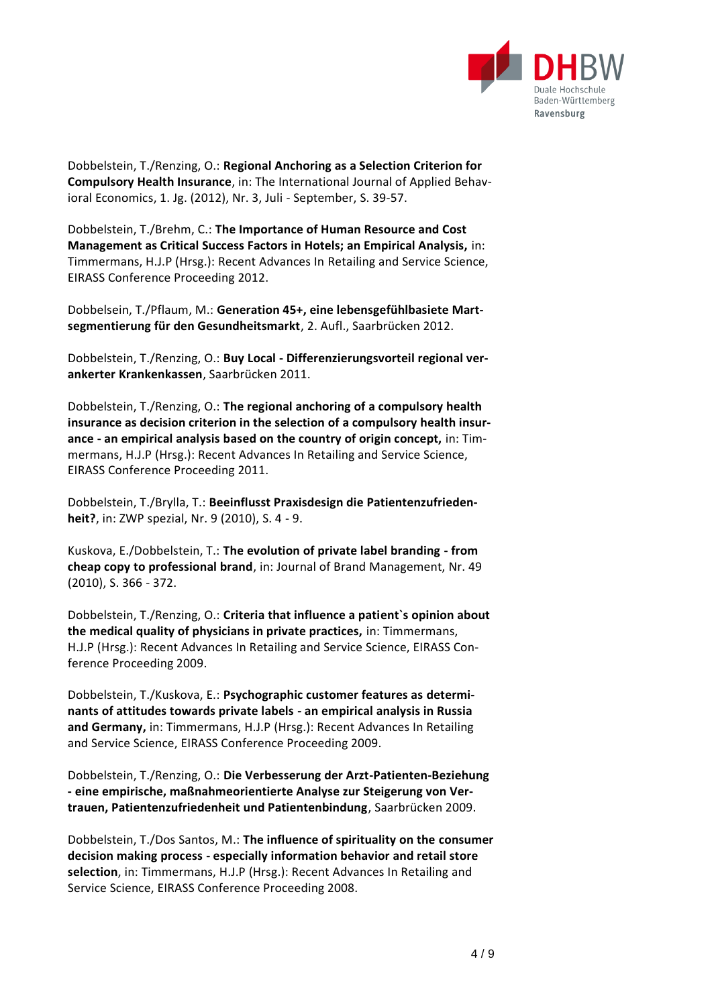

Dobbelstein, T./Renzing, O.: **Regional Anchoring as a Selection Criterion for Compulsory Health Insurance**, in: The International Journal of Applied Behavioral Economics, 1. Jg. (2012), Nr. 3, Juli - September, S. 39-57.

Dobbelstein, T./Brehm, C.: **The Importance of Human Resource and Cost Management as Critical Success Factors in Hotels; an Empirical Analysis,** in: Timmermans, H.J.P (Hrsg.): Recent Advances In Retailing and Service Science, EIRASS Conference Proceeding 2012.

Dobbelsein, T./Pflaum, M.: **Generation 45+, eine lebensgefühlbasiete Martsegmentierung für den Gesundheitsmarkt**, 2. Aufl., Saarbrücken 2012.

Dobbelstein, T./Renzing, O.: **Buy Local - Differenzierungsvorteil regional verankerter Krankenkassen**, Saarbrücken 2011.

Dobbelstein, T./Renzing, O.: **The regional anchoring of a compulsory health insurance as decision criterion in the selection of a compulsory health insurance - an empirical analysis based on the country of origin concept,** in: Timmermans, H.J.P (Hrsg.): Recent Advances In Retailing and Service Science, EIRASS Conference Proceeding 2011.

Dobbelstein, T./Brylla, T.: **Beeinflusst Praxisdesign die Patientenzufriedenheit?**, in: ZWP spezial, Nr. 9 (2010), S. 4 - 9.

Kuskova, E./Dobbelstein, T.: **The evolution of private label branding - from cheap copy to professional brand**, in: Journal of Brand Management, Nr. 49 (2010), S. 366 - 372.

Dobbelstein, T./Renzing, O.: **Criteria that influence a patient`s opinion about the medical quality of physicians in private practices,** in: Timmermans, H.J.P (Hrsg.): Recent Advances In Retailing and Service Science, EIRASS Conference Proceeding 2009.

Dobbelstein, T./Kuskova, E.: **Psychographic customer features as determinants of attitudes towards private labels - an empirical analysis in Russia and Germany,** in: Timmermans, H.J.P (Hrsg.): Recent Advances In Retailing and Service Science, EIRASS Conference Proceeding 2009.

Dobbelstein, T./Renzing, O.: **Die Verbesserung der Arzt-Patienten-Beziehung - eine empirische, maßnahmeorientierte Analyse zur Steigerung von Vertrauen, Patientenzufriedenheit und Patientenbindung**, Saarbrücken 2009.

Dobbelstein, T./Dos Santos, M.: **The influence of spirituality on the consumer decision making process - especially information behavior and retail store selection**, in: Timmermans, H.J.P (Hrsg.): Recent Advances In Retailing and Service Science, EIRASS Conference Proceeding 2008.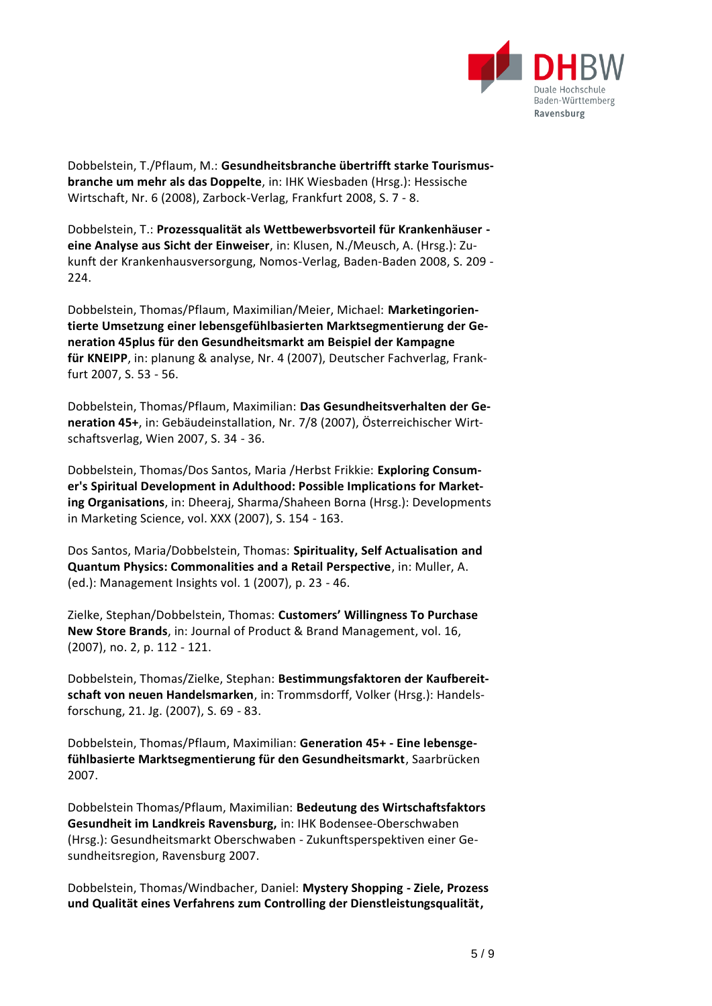

Dobbelstein, T./Pflaum, M.: **Gesundheitsbranche übertrifft starke Tourismusbranche um mehr als das Doppelte**, in: IHK Wiesbaden (Hrsg.): Hessische Wirtschaft, Nr. 6 (2008), Zarbock-Verlag, Frankfurt 2008, S. 7 - 8.

Dobbelstein, T.: **Prozessqualität als Wettbewerbsvorteil für Krankenhäuser eine Analyse aus Sicht der Einweiser**, in: Klusen, N./Meusch, A. (Hrsg.): Zukunft der Krankenhausversorgung, Nomos-Verlag, Baden-Baden 2008, S. 209 - 224.

Dobbelstein, Thomas/Pflaum, Maximilian/Meier, Michael: **Marketingorientierte Umsetzung einer lebensgefühlbasierten Marktsegmentierung der Generation 45plus für den Gesundheitsmarkt am Beispiel der Kampagne für KNEIPP**, in: planung & analyse, Nr. 4 (2007), Deutscher Fachverlag, Frankfurt 2007, S. 53 - 56.

Dobbelstein, Thomas/Pflaum, Maximilian: **Das Gesundheitsverhalten der Generation 45+**, in: Gebäudeinstallation, Nr. 7/8 (2007), Österreichischer Wirtschaftsverlag, Wien 2007, S. 34 - 36.

Dobbelstein, Thomas/Dos Santos, Maria /Herbst Frikkie: **Exploring Consumer's Spiritual Development in Adulthood: Possible Implications for Marketing Organisations**, in: Dheeraj, Sharma/Shaheen Borna (Hrsg.): Developments in Marketing Science, vol. XXX (2007), S. 154 - 163.

Dos Santos, Maria/Dobbelstein, Thomas: **Spirituality, Self Actualisation and Quantum Physics: Commonalities and a Retail Perspective**, in: Muller, A. (ed.): Management Insights vol. 1 (2007), p. 23 - 46.

Zielke, Stephan/Dobbelstein, Thomas: **Customers' Willingness To Purchase New Store Brands**, in: Journal of Product & Brand Management, vol. 16, (2007), no. 2, p. 112 - 121.

Dobbelstein, Thomas/Zielke, Stephan: **Bestimmungsfaktoren der Kaufbereitschaft von neuen Handelsmarken**, in: Trommsdorff, Volker (Hrsg.): Handelsforschung, 21. Jg. (2007), S. 69 - 83.

Dobbelstein, Thomas/Pflaum, Maximilian: **Generation 45+ - Eine lebensgefühlbasierte Marktsegmentierung für den Gesundheitsmarkt**, Saarbrücken 2007.

Dobbelstein Thomas/Pflaum, Maximilian: **Bedeutung des Wirtschaftsfaktors Gesundheit im Landkreis Ravensburg,** in: IHK Bodensee-Oberschwaben (Hrsg.): Gesundheitsmarkt Oberschwaben - Zukunftsperspektiven einer Gesundheitsregion, Ravensburg 2007.

Dobbelstein, Thomas/Windbacher, Daniel: **Mystery Shopping - Ziele, Prozess und Qualität eines Verfahrens zum Controlling der Dienstleistungsqualität,**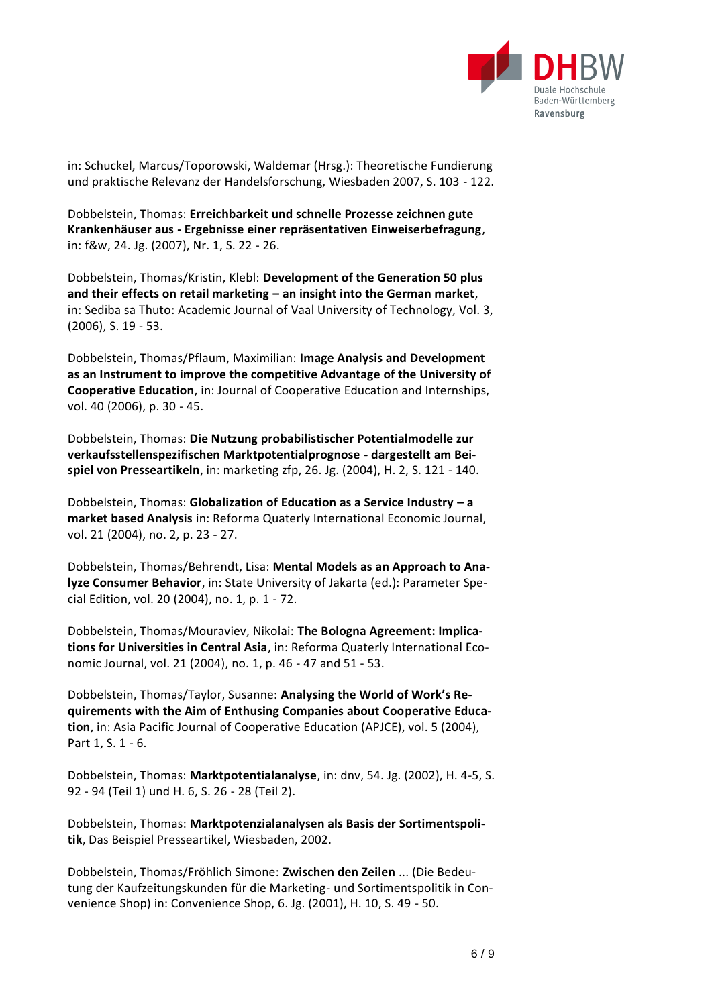

in: Schuckel, Marcus/Toporowski, Waldemar (Hrsg.): Theoretische Fundierung und praktische Relevanz der Handelsforschung, Wiesbaden 2007, S. 103 - 122.

Dobbelstein, Thomas: **Erreichbarkeit und schnelle Prozesse zeichnen gute Krankenhäuser aus - Ergebnisse einer repräsentativen Einweiserbefragung**, in: f&w, 24. Jg. (2007), Nr. 1, S. 22 - 26.

Dobbelstein, Thomas/Kristin, Klebl: **Development of the Generation 50 plus and their effects on retail marketing – an insight into the German market**, in: Sediba sa Thuto: Academic Journal of Vaal University of Technology, Vol. 3, (2006), S. 19 - 53.

Dobbelstein, Thomas/Pflaum, Maximilian: **Image Analysis and Development as an Instrument to improve the competitive Advantage of the University of Cooperative Education**, in: Journal of Cooperative Education and Internships, vol. 40 (2006), p. 30 - 45.

Dobbelstein, Thomas: **Die Nutzung probabilistischer Potentialmodelle zur verkaufsstellenspezifischen Marktpotentialprognose - dargestellt am Beispiel von Presseartikeln**, in: marketing zfp, 26. Jg. (2004), H. 2, S. 121 - 140.

Dobbelstein, Thomas: **Globalization of Education as a Service Industry – a market based Analysis** in: Reforma Quaterly International Economic Journal, vol. 21 (2004), no. 2, p. 23 - 27.

Dobbelstein, Thomas/Behrendt, Lisa: **Mental Models as an Approach to Analyze Consumer Behavior**, in: State University of Jakarta (ed.): Parameter Special Edition, vol. 20 (2004), no. 1, p. 1 - 72.

Dobbelstein, Thomas/Mouraviev, Nikolai: **The Bologna Agreement: Implications for Universities in Central Asia**, in: Reforma Quaterly International Economic Journal, vol. 21 (2004), no. 1, p. 46 - 47 and 51 - 53.

Dobbelstein, Thomas/Taylor, Susanne: **Analysing the World of Work's Requirements with the Aim of Enthusing Companies about Cooperative Education**, in: Asia Pacific Journal of Cooperative Education (APJCE), vol. 5 (2004), Part 1, S. 1 - 6.

Dobbelstein, Thomas: **Marktpotentialanalyse**, in: dnv, 54. Jg. (2002), H. 4-5, S. 92 - 94 (Teil 1) und H. 6, S. 26 - 28 (Teil 2).

Dobbelstein, Thomas: **Marktpotenzialanalysen als Basis der Sortimentspolitik**, Das Beispiel Presseartikel, Wiesbaden, 2002.

Dobbelstein, Thomas/Fröhlich Simone: **Zwischen den Zeilen** ... (Die Bedeutung der Kaufzeitungskunden für die Marketing- und Sortimentspolitik in Convenience Shop) in: Convenience Shop, 6. Jg. (2001), H. 10, S. 49 - 50.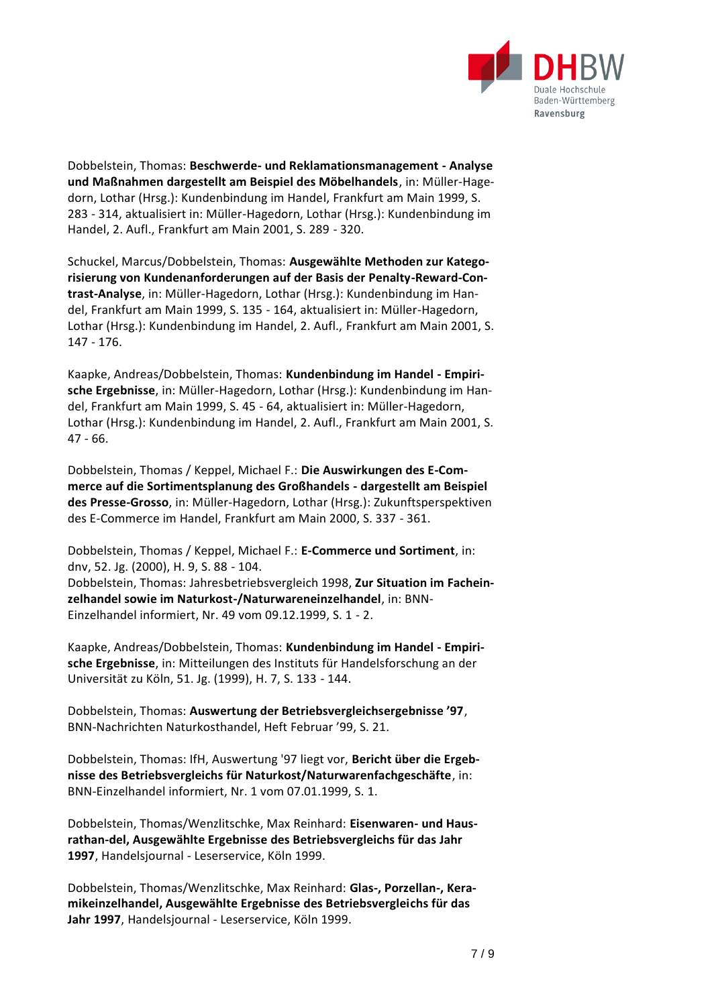

Dobbelstein, Thomas: **Beschwerde- und Reklamationsmanagement - Analyse und Maßnahmen dargestellt am Beispiel des Möbelhandels**, in: Müller-Hagedorn, Lothar (Hrsg.): Kundenbindung im Handel, Frankfurt am Main 1999, S. 283 - 314, aktualisiert in: Müller-Hagedorn, Lothar (Hrsg.): Kundenbindung im Handel, 2. Aufl., Frankfurt am Main 2001, S. 289 - 320.

Schuckel, Marcus/Dobbelstein, Thomas: **Ausgewählte Methoden zur Kategorisierung von Kundenanforderungen auf der Basis der Penalty-Reward-Contrast-Analyse**, in: Müller-Hagedorn, Lothar (Hrsg.): Kundenbindung im Handel, Frankfurt am Main 1999, S. 135 - 164, aktualisiert in: Müller-Hagedorn, Lothar (Hrsg.): Kundenbindung im Handel, 2. Aufl., Frankfurt am Main 2001, S. 147 - 176.

Kaapke, Andreas/Dobbelstein, Thomas: **Kundenbindung im Handel - Empirische Ergebnisse**, in: Müller-Hagedorn, Lothar (Hrsg.): Kundenbindung im Handel, Frankfurt am Main 1999, S. 45 - 64, aktualisiert in: Müller-Hagedorn, Lothar (Hrsg.): Kundenbindung im Handel, 2. Aufl., Frankfurt am Main 2001, S. 47 - 66.

Dobbelstein, Thomas / Keppel, Michael F.: **Die Auswirkungen des E-Commerce auf die Sortimentsplanung des Großhandels - dargestellt am Beispiel des Presse-Grosso**, in: Müller-Hagedorn, Lothar (Hrsg.): Zukunftsperspektiven des E-Commerce im Handel, Frankfurt am Main 2000, S. 337 - 361.

Dobbelstein, Thomas / Keppel, Michael F.: **E-Commerce und Sortiment**, in: dnv, 52. Jg. (2000), H. 9, S. 88 - 104. Dobbelstein, Thomas: Jahresbetriebsvergleich 1998, **Zur Situation im Facheinzelhandel sowie im Naturkost-/Naturwareneinzelhandel**, in: BNN-Einzelhandel informiert, Nr. 49 vom 09.12.1999, S. 1 - 2.

Kaapke, Andreas/Dobbelstein, Thomas: **Kundenbindung im Handel - Empirische Ergebnisse**, in: Mitteilungen des Instituts für Handelsforschung an der Universität zu Köln, 51. Jg. (1999), H. 7, S. 133 - 144.

Dobbelstein, Thomas: **Auswertung der Betriebsvergleichsergebnisse '97**, BNN-Nachrichten Naturkosthandel, Heft Februar '99, S. 21.

Dobbelstein, Thomas: IfH, Auswertung '97 liegt vor, **Bericht über die Ergebnisse des Betriebsvergleichs für Naturkost/Naturwarenfachgeschäfte**, in: BNN-Einzelhandel informiert, Nr. 1 vom 07.01.1999, S. 1.

Dobbelstein, Thomas/Wenzlitschke, Max Reinhard: **Eisenwaren- und Hausrathan-del, Ausgewählte Ergebnisse des Betriebsvergleichs für das Jahr 1997**, Handelsjournal - Leserservice, Köln 1999.

Dobbelstein, Thomas/Wenzlitschke, Max Reinhard: **Glas-, Porzellan-, Keramikeinzelhandel, Ausgewählte Ergebnisse des Betriebsvergleichs für das Jahr 1997**, Handelsjournal - Leserservice, Köln 1999.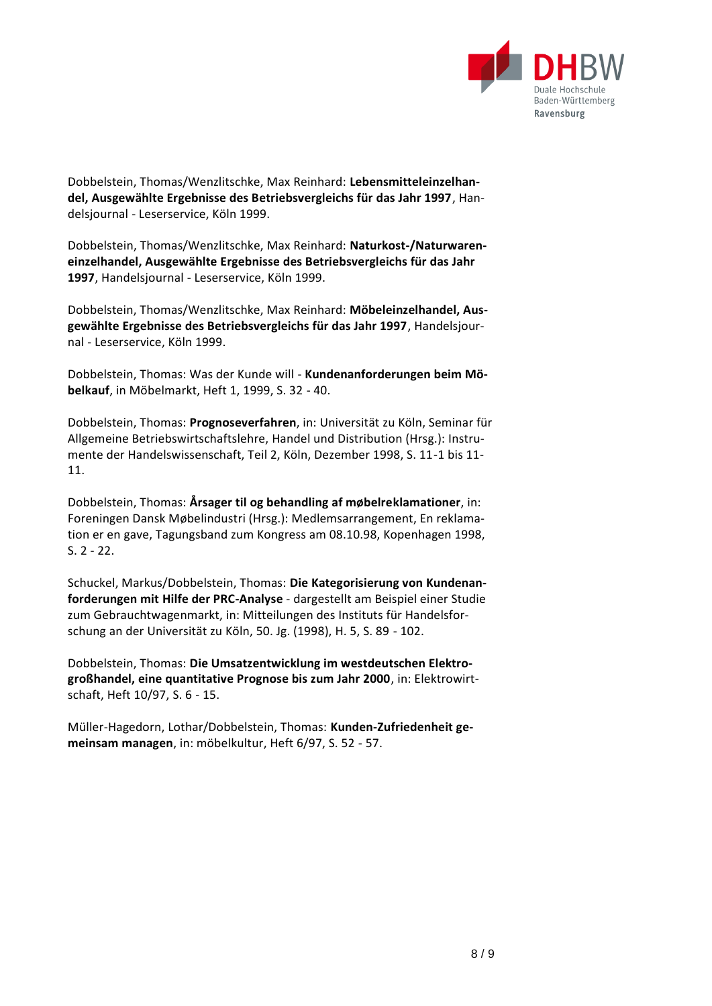

Dobbelstein, Thomas/Wenzlitschke, Max Reinhard: **Lebensmitteleinzelhandel, Ausgewählte Ergebnisse des Betriebsvergleichs für das Jahr 1997**, Handelsjournal - Leserservice, Köln 1999.

Dobbelstein, Thomas/Wenzlitschke, Max Reinhard: **Naturkost-/Naturwareneinzelhandel, Ausgewählte Ergebnisse des Betriebsvergleichs für das Jahr 1997**, Handelsjournal - Leserservice, Köln 1999.

Dobbelstein, Thomas/Wenzlitschke, Max Reinhard: **Möbeleinzelhandel, Ausgewählte Ergebnisse des Betriebsvergleichs für das Jahr 1997**, Handelsjournal - Leserservice, Köln 1999.

Dobbelstein, Thomas: Was der Kunde will - **Kundenanforderungen beim Möbelkauf**, in Möbelmarkt, Heft 1, 1999, S. 32 - 40.

Dobbelstein, Thomas: **Prognoseverfahren**, in: Universität zu Köln, Seminar für Allgemeine Betriebswirtschaftslehre, Handel und Distribution (Hrsg.): Instrumente der Handelswissenschaft, Teil 2, Köln, Dezember 1998, S. 11-1 bis 11- 11.

Dobbelstein, Thomas: **Årsager til og behandling af møbelreklamationer**, in: Foreningen Dansk Møbelindustri (Hrsg.): Medlemsarrangement, En reklamation er en gave, Tagungsband zum Kongress am 08.10.98, Kopenhagen 1998, S. 2 - 22.

Schuckel, Markus/Dobbelstein, Thomas: **Die Kategorisierung von Kundenanforderungen mit Hilfe der PRC-Analyse** - dargestellt am Beispiel einer Studie zum Gebrauchtwagenmarkt, in: Mitteilungen des Instituts für Handelsforschung an der Universität zu Köln, 50. Jg. (1998), H. 5, S. 89 - 102.

Dobbelstein, Thomas: **Die Umsatzentwicklung im westdeutschen Elektrogroßhandel, eine quantitative Prognose bis zum Jahr 2000**, in: Elektrowirtschaft, Heft 10/97, S. 6 - 15.

Müller-Hagedorn, Lothar/Dobbelstein, Thomas: **Kunden-Zufriedenheit gemeinsam managen**, in: möbelkultur, Heft 6/97, S. 52 - 57.